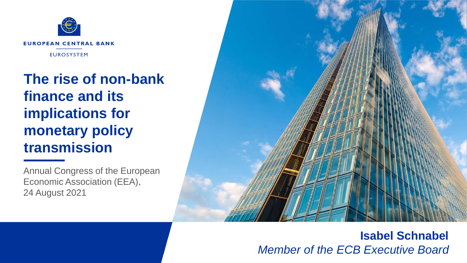

**The rise of non-bank finance and its implications for monetary policy transmission**

Annual Congress of the European Economic Association (EEA), 24 August 2021



### **Isabel Schnabel** *Member of the ECB Executive Board*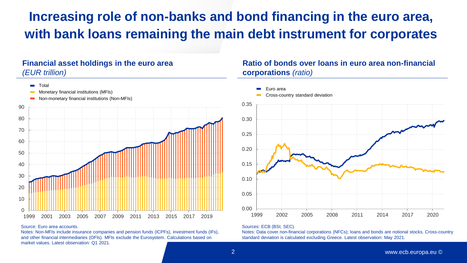## **Increasing role of non-banks and bond financing in the euro area, with bank loans remaining the main debt instrument for corporates**

### **Financial asset holdings in the euro area** *(EUR trillion)*



#### Source: Euro area accounts.

Notes: Non-MFIs include insurance companies and pension funds (ICPFs), investment funds (IFs), and other financial intermediaries (OFIs). MFIs exclude the Eurosystem. Calculations based on market values. Latest observation: Q1 2021.

### **Ratio of bonds over loans in euro area non-financial corporations** *(ratio)*



#### Sources: ECB (BSI, SEC).

Notes: Data cover non-financial corporations (NFCs); loans and bonds are notional stocks. Cross-country standard deviation is calculated excluding Greece. Latest observation: May 2021.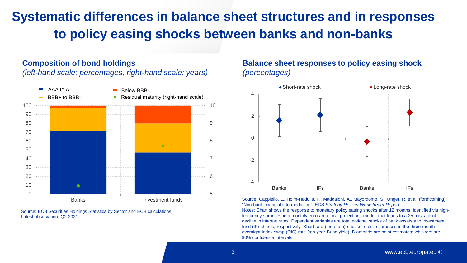## **Systematic differences in balance sheet structures and in responses to policy easing shocks between banks and non-banks**

#### **Composition of bond holdings**

*(left-hand scale: percentages, right-hand scale: years)*



Source: ECB Securities Holdings Statistics by Sector and ECB calculations. Latest observation: Q2 2021.

### **Balance sheet responses to policy easing shock** *(percentages)*



Source: Cappiello, L., Holm-Hadulla, F., Maddaloni, A., Mayordomo, S., Unger, R. et al. (forthcoming), "Non-bank financial intermediation", *ECB Strategy Review Workstream Report*. Notes: Chart shows the response to monetary policy easing shocks after 12 months, identified via highfrequency surprises in a monthly euro area local projections model, that leads to a 25 basis point decline in interest rates. Dependent variables are total notional stocks of bank assets and investment fund (IF) shares, respectively. Short-rate (long-rate) shocks refer to surprises in the three-month overnight index swap (OIS) rate (ten-year Bund yield). Diamonds are point estimates; whiskers are 90% confidence intervals.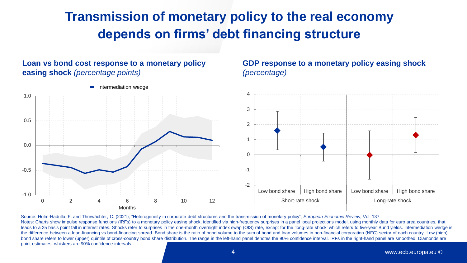### **Transmission of monetary policy to the real economy depends on firms' debt financing structure**

**Loan vs bond cost response to a monetary policy** 



Source: Holm-Hadulla, F. and Thürwächter, C. (2021), "Heterogeneity in corporate debt structures and the transmission of monetary policy", *European Economic Review*, Vol. 137. Notes: Charts show impulse response functions (IRFs) to a monetary policy easing shock, identified via high-frequency surprises in a panel local projections model, using monthly data for euro area countries, that leads to a 25 basis point fall in interest rates. Shocks refer to surprises in the one-month overnight index swap (OIS) rate, except for the 'long-rate shock' which refers to five-year Bund yields. Intermediation wedge is the difference between a loan-financing vs bond-financing spread. Bond share is the ratio of bond volume to the sum of bond and loan volumes in non-financial corporation (NFC) sector of each country. Low (high) bond share refers to lower (upper) quintile of cross-country bond share distribution. The range in the left-hand panel denotes the 90% confidence interval. IRFs in the right-hand panel are smoothed. Diamonds are point estimates; whiskers are 90% confidence intervals.

#### 4 www.ecb.europa.eu ©

**GDP response to a monetary policy easing shock**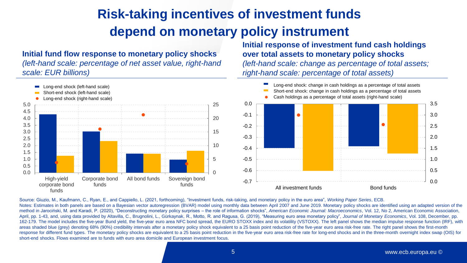# **Risk-taking incentives of investment funds depend on monetary policy instrument**

**Initial fund flow response to monetary policy shocks**  *(left-hand scale: percentage of net asset value, right-hand scale: EUR billions)*

**Initial response of investment fund cash holdings over total assets to monetary policy shocks** *(left-hand scale: change as percentage of total assets; right-hand scale: percentage of total assets)*



Source: Giuzio, M., Kaufmann, C., Ryan, E., and Cappiello, L. (2021, forthcoming), "Investment funds, risk-taking, and monetary policy in the euro area", *Working Paper Series*, ECB. Notes: Estimates in both panels are based on a Bayesian vector autoregression (BVAR) model using monthly data between April 2007 and June 2019. Monetary policy shocks are identified using an adapted version of the method in Jarociński, M. and Karadi, P. (2020), "Deconstructing monetary policy surprises – the role of information shocks", *American Economic Journal: Macroeconomics*, Vol. 12, No 2, American Economic Association, April, pp. 1-43, and, using data provided by Altavilla, C., Brugnolini, L., Gürkaynak, R., Motto, R. and Ragusa, G. (2019), "Measuring euro area monetary policy", *Journal of Monetary Economics*, Vol. 108, December, pp. 162-179. The model includes the five-year Bund yield, the five-year euro area NFC bond spread, the EURO STOXX index and its volatility (VSTOXX). The left panel shows the median impulse response function (IRF), with areas shaded blue (grey) denoting 68% (90%) credibility intervals after a monetary policy shock equivalent to a 25 basis point reduction of the five-year euro area risk-free rate. The right panel shows the first-month response for different fund types. The monetary policy shocks are equivalent to a 25 basis point reduction in the five-year euro area risk-free rate for long-end shocks and in the three-month overnight index swap (OIS) for short-end shocks. Flows examined are to funds with euro area domicile and European investment focus.